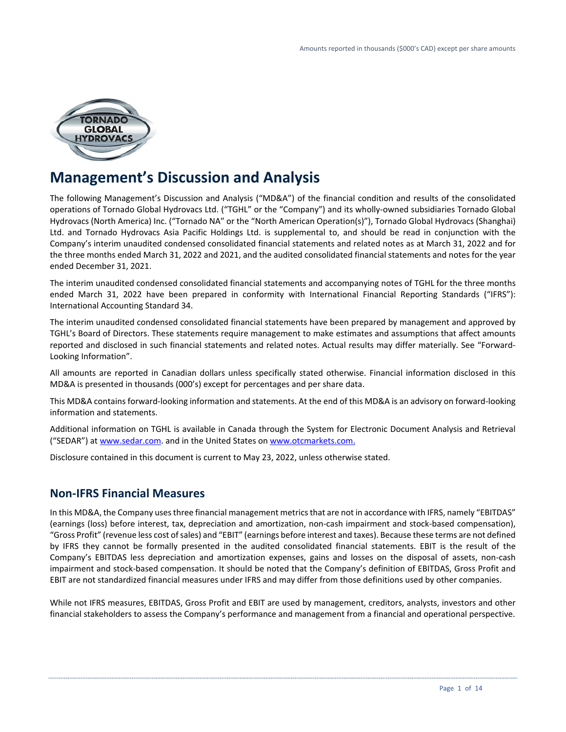

# **Management's Discussion and Analysis**

The following Management's Discussion and Analysis ("MD&A") of the financial condition and results of the consolidated operations of Tornado Global Hydrovacs Ltd. ("TGHL" or the "Company") and its wholly-owned subsidiaries Tornado Global Hydrovacs (North America) Inc. ("Tornado NA" or the "North American Operation(s)"), Tornado Global Hydrovacs (Shanghai) Ltd. and Tornado Hydrovacs Asia Pacific Holdings Ltd. is supplemental to, and should be read in conjunction with the Company's interim unaudited condensed consolidated financial statements and related notes as at March 31, 2022 and for the three months ended March 31, 2022 and 2021, and the audited consolidated financial statements and notes for the year ended December 31, 2021.

The interim unaudited condensed consolidated financial statements and accompanying notes of TGHL for the three months ended March 31, 2022 have been prepared in conformity with International Financial Reporting Standards ("IFRS"): International Accounting Standard 34.

The interim unaudited condensed consolidated financial statements have been prepared by management and approved by TGHL's Board of Directors. These statements require management to make estimates and assumptions that affect amounts reported and disclosed in such financial statements and related notes. Actual results may differ materially. See "Forward-Looking Information".

All amounts are reported in Canadian dollars unless specifically stated otherwise. Financial information disclosed in this MD&A is presented in thousands (000's) except for percentages and per share data.

This MD&A contains forward-looking information and statements. At the end of this MD&A is an advisory on forward-looking information and statements.

Additional information on TGHL is available in Canada through the System for Electronic Document Analysis and Retrieval ("SEDAR") at [www.sedar.com.](http://www.sedar.com/) and in the United States on www.otcmarkets.com.

Disclosure contained in this document is current to May 23, 2022, unless otherwise stated.

# **Non-IFRS Financial Measures**

In this MD&A, the Company uses three financial management metrics that are not in accordance with IFRS, namely "EBITDAS" (earnings (loss) before interest, tax, depreciation and amortization, non-cash impairment and stock-based compensation), "Gross Profit" (revenue less cost of sales) and "EBIT" (earnings before interest and taxes). Because these terms are not defined by IFRS they cannot be formally presented in the audited consolidated financial statements. EBIT is the result of the Company's EBITDAS less depreciation and amortization expenses, gains and losses on the disposal of assets, non-cash impairment and stock-based compensation. It should be noted that the Company's definition of EBITDAS, Gross Profit and EBIT are not standardized financial measures under IFRS and may differ from those definitions used by other companies.

While not IFRS measures, EBITDAS, Gross Profit and EBIT are used by management, creditors, analysts, investors and other financial stakeholders to assess the Company's performance and management from a financial and operational perspective.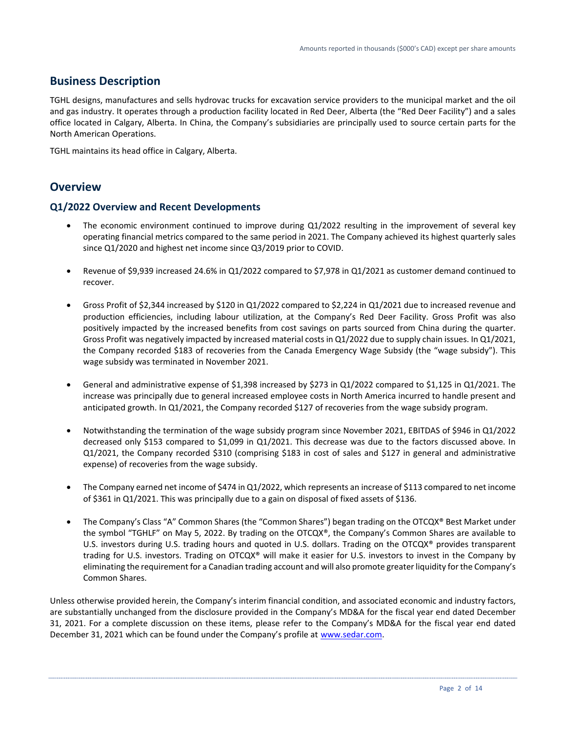### **Business Description**

TGHL designs, manufactures and sells hydrovac trucks for excavation service providers to the municipal market and the oil and gas industry. It operates through a production facility located in Red Deer, Alberta (the "Red Deer Facility") and a sales office located in Calgary, Alberta. In China, the Company's subsidiaries are principally used to source certain parts for the North American Operations.

TGHL maintains its head office in Calgary, Alberta.

### **Overview**

### **Q1/2022 Overview and Recent Developments**

- The economic environment continued to improve during Q1/2022 resulting in the improvement of several key operating financial metrics compared to the same period in 2021. The Company achieved its highest quarterly sales since Q1/2020 and highest net income since Q3/2019 prior to COVID.
- Revenue of \$9,939 increased 24.6% in Q1/2022 compared to \$7,978 in Q1/2021 as customer demand continued to recover.
- Gross Profit of \$2,344 increased by \$120 in Q1/2022 compared to \$2,224 in Q1/2021 due to increased revenue and production efficiencies, including labour utilization, at the Company's Red Deer Facility. Gross Profit was also positively impacted by the increased benefits from cost savings on parts sourced from China during the quarter. Gross Profit was negatively impacted by increased material costs in Q1/2022 due to supply chain issues. In Q1/2021, the Company recorded \$183 of recoveries from the Canada Emergency Wage Subsidy (the "wage subsidy"). This wage subsidy was terminated in November 2021.
- General and administrative expense of \$1,398 increased by \$273 in Q1/2022 compared to \$1,125 in Q1/2021. The increase was principally due to general increased employee costs in North America incurred to handle present and anticipated growth. In Q1/2021, the Company recorded \$127 of recoveries from the wage subsidy program.
- Notwithstanding the termination of the wage subsidy program since November 2021, EBITDAS of \$946 in Q1/2022 decreased only \$153 compared to \$1,099 in Q1/2021. This decrease was due to the factors discussed above. In Q1/2021, the Company recorded \$310 (comprising \$183 in cost of sales and \$127 in general and administrative expense) of recoveries from the wage subsidy.
- The Company earned net income of \$474 in Q1/2022, which represents an increase of \$113 compared to net income of \$361 in Q1/2021. This was principally due to a gain on disposal of fixed assets of \$136.
- The Company's Class "A" Common Shares (the "Common Shares") began trading on the OTCQX® Best Market under the symbol "TGHLF" on May 5, 2022. By trading on the OTCQX®, the Company's Common Shares are available to U.S. investors during U.S. trading hours and quoted in U.S. dollars. Trading on the OTCQX® provides transparent trading for U.S. investors. Trading on OTCQX® will make it easier for U.S. investors to invest in the Company by eliminating the requirement for a Canadian trading account and will also promote greater liquidity for the Company's Common Shares.

Unless otherwise provided herein, the Company's interim financial condition, and associated economic and industry factors, are substantially unchanged from the disclosure provided in the Company's MD&A for the fiscal year end dated December 31, 2021. For a complete discussion on these items, please refer to the Company's MD&A for the fiscal year end dated December 31, 2021 which can be found under the Company's profile at [www.sedar.com.](http://www.sedar.com/)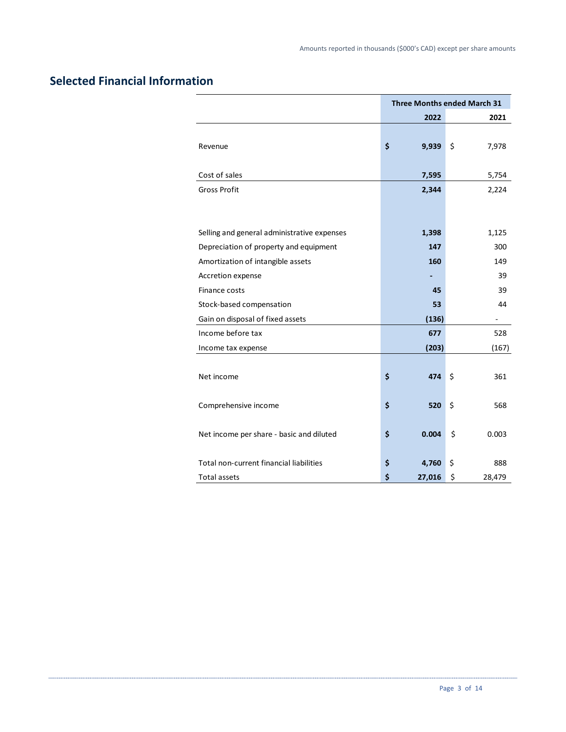# **Selected Financial Information**

|                                             | <b>Three Months ended March 31</b> |        |    |        |
|---------------------------------------------|------------------------------------|--------|----|--------|
|                                             |                                    | 2022   |    | 2021   |
|                                             |                                    |        |    |        |
| Revenue                                     | \$                                 | 9,939  | \$ | 7,978  |
|                                             |                                    |        |    |        |
| Cost of sales                               |                                    | 7,595  |    | 5,754  |
| <b>Gross Profit</b>                         |                                    | 2,344  |    | 2,224  |
|                                             |                                    |        |    |        |
|                                             |                                    |        |    |        |
| Selling and general administrative expenses |                                    | 1,398  |    | 1,125  |
| Depreciation of property and equipment      |                                    | 147    |    | 300    |
| Amortization of intangible assets           |                                    | 160    |    | 149    |
| Accretion expense                           |                                    |        |    | 39     |
| Finance costs                               |                                    | 45     |    | 39     |
| Stock-based compensation                    |                                    | 53     |    | 44     |
| Gain on disposal of fixed assets            |                                    | (136)  |    |        |
| Income before tax                           |                                    | 677    |    | 528    |
| Income tax expense                          |                                    | (203)  |    | (167)  |
|                                             |                                    |        |    |        |
| Net income                                  | \$                                 | 474    | \$ | 361    |
|                                             |                                    |        |    |        |
| Comprehensive income                        | \$                                 | 520    | \$ | 568    |
|                                             |                                    |        |    |        |
| Net income per share - basic and diluted    | \$                                 | 0.004  | \$ | 0.003  |
|                                             |                                    |        |    |        |
| Total non-current financial liabilities     | \$                                 | 4,760  | \$ | 888    |
| <b>Total assets</b>                         | \$                                 | 27,016 | \$ | 28,479 |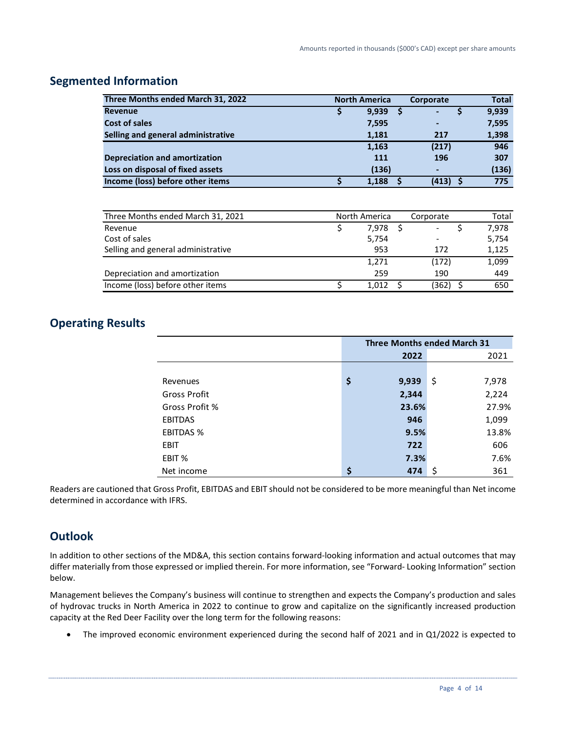# **Segmented Information**

| Three Months ended March 31, 2022    | <b>North America</b> | Corporate                    | <b>Total</b> |
|--------------------------------------|----------------------|------------------------------|--------------|
| <b>Revenue</b>                       | 9,939                | ٠                            | 9,939        |
| <b>Cost of sales</b>                 | 7,595                | $\qquad \qquad \blacksquare$ | 7,595        |
| Selling and general administrative   | 1,181                | 217                          | 1,398        |
|                                      | 1,163                | (217)                        | 946          |
| <b>Depreciation and amortization</b> | 111                  | 196                          | 307          |
| Loss on disposal of fixed assets     | (136)                |                              | (136)        |
| Income (loss) before other items     | 1,188                | (413)                        | 775          |

| Three Months ended March 31, 2021  | North America |       |  | Corporate | Total |
|------------------------------------|---------------|-------|--|-----------|-------|
| Revenue                            |               | 7,978 |  |           | 7,978 |
| Cost of sales                      |               | 5,754 |  |           | 5,754 |
| Selling and general administrative |               | 953   |  | 172       | 1,125 |
|                                    |               | 1,271 |  | (172)     | 1,099 |
| Depreciation and amortization      |               | 259   |  | 190       | 449   |
| Income (loss) before other items   |               | 1.012 |  | (362)     | 650   |

# **Operating Results**

|                     | <b>Three Months ended March 31</b> |       |             |  |
|---------------------|------------------------------------|-------|-------------|--|
|                     |                                    | 2022  | 2021        |  |
|                     |                                    |       |             |  |
| Revenues            | \$                                 | 9,939 | \$<br>7,978 |  |
| <b>Gross Profit</b> |                                    | 2,344 | 2,224       |  |
| Gross Profit %      |                                    | 23.6% | 27.9%       |  |
| <b>EBITDAS</b>      |                                    | 946   | 1,099       |  |
| <b>EBITDAS %</b>    |                                    | 9.5%  | 13.8%       |  |
| <b>EBIT</b>         |                                    | 722   | 606         |  |
| EBIT %              |                                    | 7.3%  | 7.6%        |  |
| Net income          | \$                                 | 474   | \$,<br>361  |  |

Readers are cautioned that Gross Profit, EBITDAS and EBIT should not be considered to be more meaningful than Net income determined in accordance with IFRS.

# **Outlook**

In addition to other sections of the MD&A, this section contains forward-looking information and actual outcomes that may differ materially from those expressed or implied therein. For more information, see "Forward- Looking Information" section below.

Management believes the Company's business will continue to strengthen and expects the Company's production and sales of hydrovac trucks in North America in 2022 to continue to grow and capitalize on the significantly increased production capacity at the Red Deer Facility over the long term for the following reasons:

• The improved economic environment experienced during the second half of 2021 and in Q1/2022 is expected to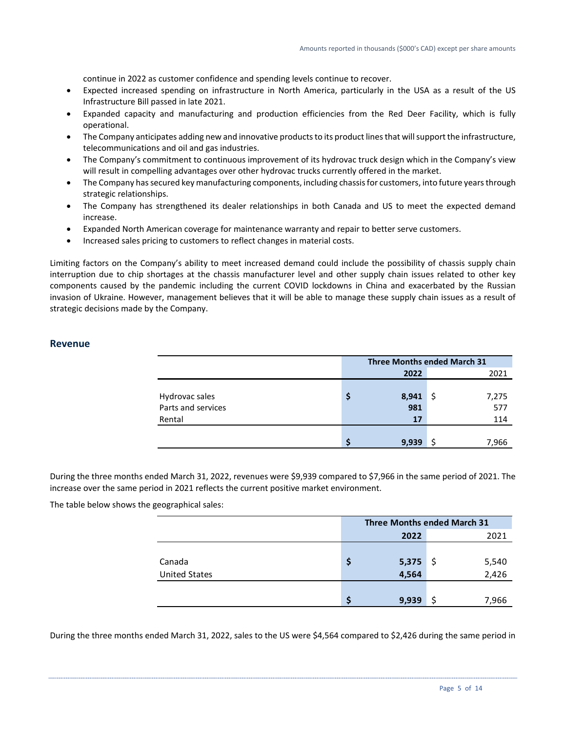continue in 2022 as customer confidence and spending levels continue to recover.

- Expected increased spending on infrastructure in North America, particularly in the USA as a result of the US Infrastructure Bill passed in late 2021.
- Expanded capacity and manufacturing and production efficiencies from the Red Deer Facility, which is fully operational.
- The Company anticipates adding new and innovative products to its product lines that will support the infrastructure, telecommunications and oil and gas industries.
- The Company's commitment to continuous improvement of its hydrovac truck design which in the Company's view will result in compelling advantages over other hydrovac trucks currently offered in the market.
- The Company has secured key manufacturing components, including chassis for customers, into future years through strategic relationships.
- The Company has strengthened its dealer relationships in both Canada and US to meet the expected demand increase.
- Expanded North American coverage for maintenance warranty and repair to better serve customers.
- Increased sales pricing to customers to reflect changes in material costs.

Limiting factors on the Company's ability to meet increased demand could include the possibility of chassis supply chain interruption due to chip shortages at the chassis manufacturer level and other supply chain issues related to other key components caused by the pandemic including the current COVID lockdowns in China and exacerbated by the Russian invasion of Ukraine. However, management believes that it will be able to manage these supply chain issues as a result of strategic decisions made by the Company.

### **Revenue**

|                    | <b>Three Months ended March 31</b> |       |     |       |
|--------------------|------------------------------------|-------|-----|-------|
|                    |                                    | 2022  |     | 2021  |
|                    |                                    |       |     |       |
| Hydrovac sales     | S                                  | 8,941 | \$. | 7,275 |
| Parts and services |                                    | 981   |     | 577   |
| Rental             |                                    | 17    |     | 114   |
|                    |                                    |       |     |       |
|                    |                                    | 9.939 |     | 7,966 |

During the three months ended March 31, 2022, revenues were \$9,939 compared to \$7,966 in the same period of 2021. The increase over the same period in 2021 reflects the current positive market environment.

The table below shows the geographical sales:

|                      |   | <b>Three Months ended March 31</b> |     |       |  |
|----------------------|---|------------------------------------|-----|-------|--|
|                      |   | 2022                               |     | 2021  |  |
|                      |   |                                    |     |       |  |
| Canada               | Ş |                                    | -\$ | 5,540 |  |
| <b>United States</b> |   | 5,375<br>4,564                     |     | 2,426 |  |
|                      |   |                                    |     |       |  |
|                      | S | 9,939                              |     | 7,966 |  |

During the three months ended March 31, 2022, sales to the US were \$4,564 compared to \$2,426 during the same period in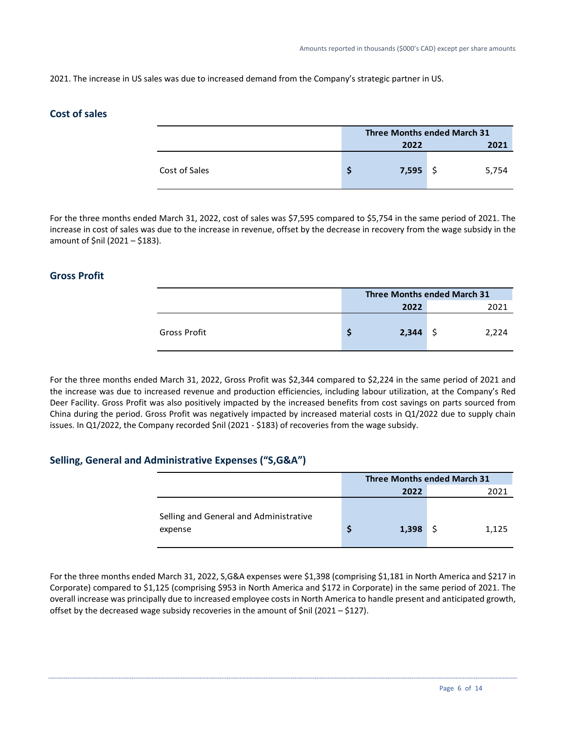2021. The increase in US sales was due to increased demand from the Company's strategic partner in US.

### **Cost of sales**

|               | <b>Three Months ended March 31</b> |            |      |       |
|---------------|------------------------------------|------------|------|-------|
|               |                                    | 2022       | 2021 |       |
| Cost of Sales |                                    | $7,595$ \$ |      | 5,754 |

For the three months ended March 31, 2022, cost of sales was \$7,595 compared to \$5,754 in the same period of 2021. The increase in cost of sales was due to the increase in revenue, offset by the decrease in recovery from the wage subsidy in the amount of \$nil (2021 – \$183).

### **Gross Profit**

|              | <b>Three Months ended March 31</b> |       |  |       |
|--------------|------------------------------------|-------|--|-------|
|              |                                    | 2022  |  | 2021  |
| Gross Profit |                                    | 2,344 |  | 2.224 |

For the three months ended March 31, 2022, Gross Profit was \$2,344 compared to \$2,224 in the same period of 2021 and the increase was due to increased revenue and production efficiencies, including labour utilization, at the Company's Red Deer Facility. Gross Profit was also positively impacted by the increased benefits from cost savings on parts sourced from China during the period. Gross Profit was negatively impacted by increased material costs in Q1/2022 due to supply chain issues. In Q1/2022, the Company recorded \$nil (2021 - \$183) of recoveries from the wage subsidy.

### **Selling, General and Administrative Expenses ("S,G&A")**

|                                                   |       | <b>Three Months ended March 31</b> |       |
|---------------------------------------------------|-------|------------------------------------|-------|
|                                                   | 2022  |                                    | 2021  |
| Selling and General and Administrative<br>expense | 1,398 |                                    | 1,125 |

For the three months ended March 31, 2022, S,G&A expenses were \$1,398 (comprising \$1,181 in North America and \$217 in Corporate) compared to \$1,125 (comprising \$953 in North America and \$172 in Corporate) in the same period of 2021. The overall increase was principally due to increased employee costs in North America to handle present and anticipated growth, offset by the decreased wage subsidy recoveries in the amount of \$nil (2021 – \$127).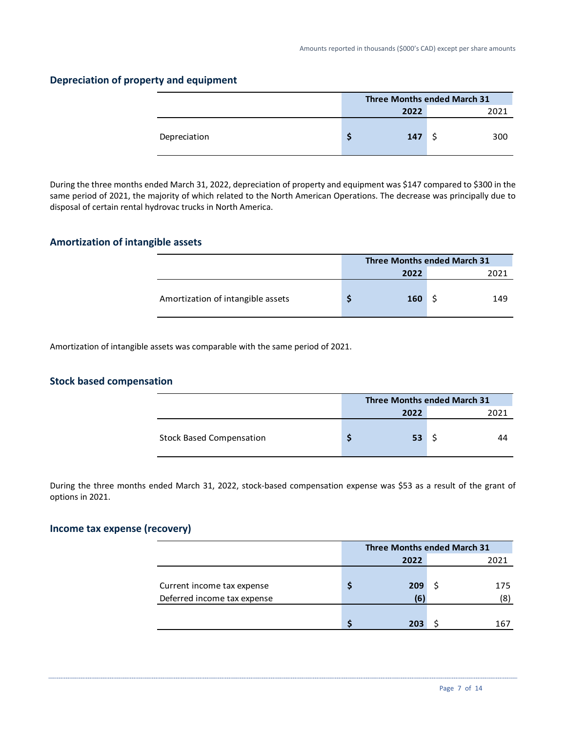|              | <b>Three Months ended March 31</b> |      |  |      |
|--------------|------------------------------------|------|--|------|
|              |                                    | 2022 |  | 2021 |
| Depreciation |                                    | 147  |  | 300  |

### **Depreciation of property and equipment**

During the three months ended March 31, 2022, depreciation of property and equipment was \$147 compared to \$300 in the same period of 2021, the majority of which related to the North American Operations. The decrease was principally due to disposal of certain rental hydrovac trucks in North America.

### **Amortization of intangible assets**

|                                   | Three Months ended March 31 |      |  |  |
|-----------------------------------|-----------------------------|------|--|--|
|                                   | 2022                        | วกวา |  |  |
| Amortization of intangible assets | 160                         | 149  |  |  |

Amortization of intangible assets was comparable with the same period of 2021.

### **Stock based compensation**

|                                 | <b>Three Months ended March 31</b> |      |  |  |
|---------------------------------|------------------------------------|------|--|--|
|                                 | 2022                               | วกวา |  |  |
| <b>Stock Based Compensation</b> | 53                                 |      |  |  |

During the three months ended March 31, 2022, stock-based compensation expense was \$53 as a result of the grant of options in 2021.

### **Income tax expense (recovery)**

|                             | <b>Three Months ended March 31</b> |      |  |      |  |  |
|-----------------------------|------------------------------------|------|--|------|--|--|
|                             |                                    | 2022 |  | 2021 |  |  |
|                             |                                    |      |  |      |  |  |
| Current income tax expense  |                                    | 209  |  | 175  |  |  |
| Deferred income tax expense |                                    | 16   |  | (8)  |  |  |
|                             |                                    |      |  |      |  |  |
|                             |                                    | 203  |  | 167  |  |  |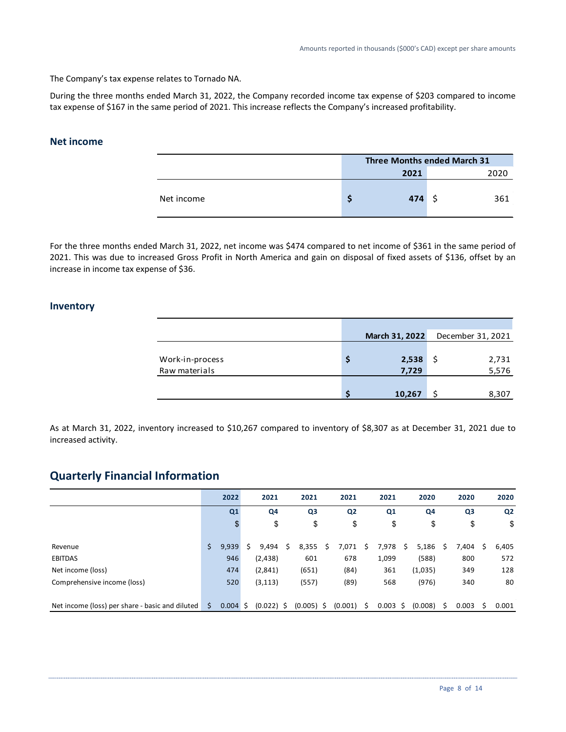The Company's tax expense relates to Tornado NA.

During the three months ended March 31, 2022, the Company recorded income tax expense of \$203 compared to income tax expense of \$167 in the same period of 2021. This increase reflects the Company's increased profitability.

### **Net income**

|            | <b>Three Months ended March 31</b> |      |     |      |  |  |  |  |
|------------|------------------------------------|------|-----|------|--|--|--|--|
|            |                                    | 2021 |     | 2020 |  |  |  |  |
| Net income |                                    | 474  | - S | 361  |  |  |  |  |

For the three months ended March 31, 2022, net income was \$474 compared to net income of \$361 in the same period of 2021. This was due to increased Gross Profit in North America and gain on disposal of fixed assets of \$136, offset by an increase in income tax expense of \$36.

### **Inventory**

|                 |   | March 31, 2022 | December 31, 2021 |       |
|-----------------|---|----------------|-------------------|-------|
|                 |   |                |                   |       |
| Work-in-process | s | 2,538          | S                 | 2,731 |
| Raw materials   |   | 7,729          |                   | 5,576 |
|                 |   |                |                   |       |
|                 |   | 10,267         |                   | 8,307 |

As at March 31, 2022, inventory increased to \$10,267 compared to inventory of \$8,307 as at December 31, 2021 due to increased activity.

# **Quarterly Financial Information**

|                                                 |    | 2022       | 2021         |    | 2021         |   | 2021           |     | 2021           |    | 2020    |    | 2020           |   | 2020           |
|-------------------------------------------------|----|------------|--------------|----|--------------|---|----------------|-----|----------------|----|---------|----|----------------|---|----------------|
|                                                 |    | Q1         | Q4           |    | Q3           |   | Q <sub>2</sub> |     | Q <sub>1</sub> |    | Q4      |    | Q <sub>3</sub> |   | Q <sub>2</sub> |
|                                                 |    |            | \$           |    | \$           |   | \$             |     | \$             |    | \$      |    | \$             |   | \$             |
|                                                 |    |            |              |    |              |   |                |     |                |    |         |    |                |   |                |
| Revenue                                         | Ś  | 9,939      | 9,494        | S. | 8,355        | Ś | 7,071          | Ś   | 7,978          | S. | 5,186   | S  | 7.404          | S | 6,405          |
| <b>EBITDAS</b>                                  |    | 946        | (2, 438)     |    | 601          |   | 678            |     | 1,099          |    | (588)   |    | 800            |   | 572            |
| Net income (loss)                               |    | 474        | (2,841)      |    | (651)        |   | (84)           |     | 361            |    | (1,035) |    | 349            |   | 128            |
| Comprehensive income (loss)                     |    | 520        | (3, 113)     |    | (557)        |   | (89)           |     | 568            |    | (976)   |    | 340            |   | 80             |
|                                                 |    |            |              |    |              |   |                |     |                |    |         |    |                |   |                |
| Net income (loss) per share - basic and diluted | Ŝ. | $0.004$ \$ | $(0.022)$ \$ |    | $(0.005)$ \$ |   | (0.001)        | - S | $0.003 \;$ \$  |    | (0.008) | S. | 0.003          | S | 0.001          |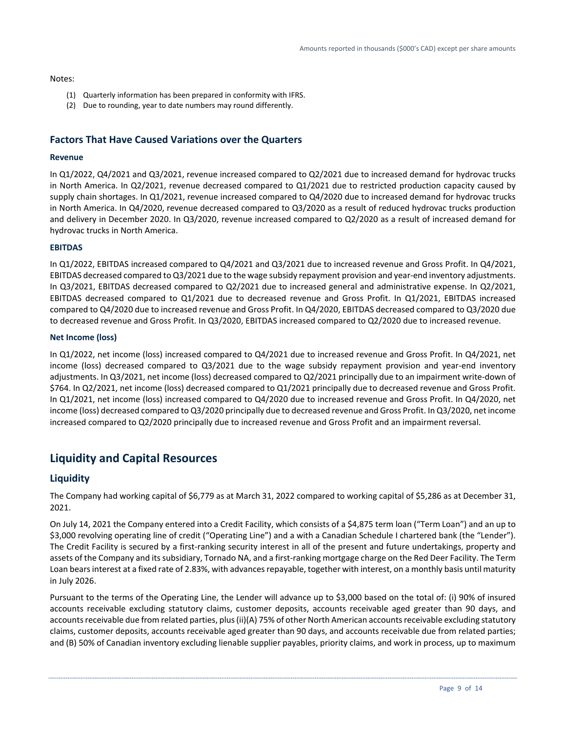#### Notes:

- (1) Quarterly information has been prepared in conformity with IFRS.
- (2) Due to rounding, year to date numbers may round differently.

### **Factors That Have Caused Variations over the Quarters**

#### **Revenue**

In Q1/2022, Q4/2021 and Q3/2021, revenue increased compared to Q2/2021 due to increased demand for hydrovac trucks in North America. In Q2/2021, revenue decreased compared to Q1/2021 due to restricted production capacity caused by supply chain shortages. In Q1/2021, revenue increased compared to Q4/2020 due to increased demand for hydrovac trucks in North America. In Q4/2020, revenue decreased compared to Q3/2020 as a result of reduced hydrovac trucks production and delivery in December 2020. In Q3/2020, revenue increased compared to Q2/2020 as a result of increased demand for hydrovac trucks in North America.

#### **EBITDAS**

In Q1/2022, EBITDAS increased compared to Q4/2021 and Q3/2021 due to increased revenue and Gross Profit. In Q4/2021, EBITDAS decreased compared to Q3/2021 due to the wage subsidy repayment provision and year-end inventory adjustments. In Q3/2021, EBITDAS decreased compared to Q2/2021 due to increased general and administrative expense. In Q2/2021, EBITDAS decreased compared to Q1/2021 due to decreased revenue and Gross Profit. In Q1/2021, EBITDAS increased compared to Q4/2020 due to increased revenue and Gross Profit. In Q4/2020, EBITDAS decreased compared to Q3/2020 due to decreased revenue and Gross Profit. In Q3/2020, EBITDAS increased compared to Q2/2020 due to increased revenue.

#### **Net Income (loss)**

In Q1/2022, net income (loss) increased compared to Q4/2021 due to increased revenue and Gross Profit. In Q4/2021, net income (loss) decreased compared to Q3/2021 due to the wage subsidy repayment provision and year-end inventory adjustments. In Q3/2021, net income (loss) decreased compared to Q2/2021 principally due to an impairment write-down of \$764. In Q2/2021, net income (loss) decreased compared to Q1/2021 principally due to decreased revenue and Gross Profit. In Q1/2021, net income (loss) increased compared to Q4/2020 due to increased revenue and Gross Profit. In Q4/2020, net income (loss) decreased compared to Q3/2020 principally due to decreased revenue and Gross Profit. In Q3/2020, net income increased compared to Q2/2020 principally due to increased revenue and Gross Profit and an impairment reversal.

# **Liquidity and Capital Resources**

### **Liquidity**

The Company had working capital of \$6,779 as at March 31, 2022 compared to working capital of \$5,286 as at December 31, 2021.

On July 14, 2021 the Company entered into a Credit Facility, which consists of a \$4,875 term loan ("Term Loan") and an up to \$3,000 revolving operating line of credit ("Operating Line") and a with a Canadian Schedule I chartered bank (the "Lender"). The Credit Facility is secured by a first-ranking security interest in all of the present and future undertakings, property and assets of the Company and its subsidiary, Tornado NA, and a first-ranking mortgage charge on the Red Deer Facility. The Term Loan bears interest at a fixed rate of 2.83%, with advances repayable, together with interest, on a monthly basis until maturity in July 2026.

Pursuant to the terms of the Operating Line, the Lender will advance up to \$3,000 based on the total of: (i) 90% of insured accounts receivable excluding statutory claims, customer deposits, accounts receivable aged greater than 90 days, and accounts receivable due from related parties, plus (ii)(A) 75% of other North American accounts receivable excluding statutory claims, customer deposits, accounts receivable aged greater than 90 days, and accounts receivable due from related parties; and (B) 50% of Canadian inventory excluding lienable supplier payables, priority claims, and work in process, up to maximum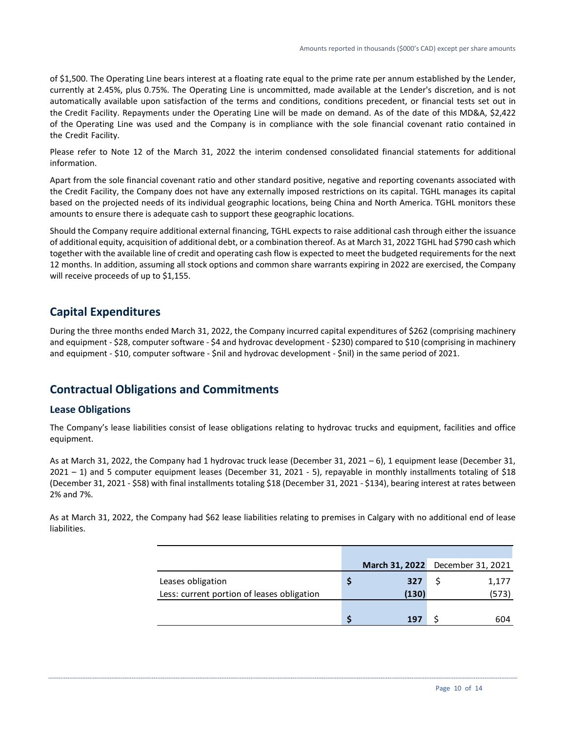of \$1,500. The Operating Line bears interest at a floating rate equal to the prime rate per annum established by the Lender, currently at 2.45%, plus 0.75%. The Operating Line is uncommitted, made available at the Lender's discretion, and is not automatically available upon satisfaction of the terms and conditions, conditions precedent, or financial tests set out in the Credit Facility. Repayments under the Operating Line will be made on demand. As of the date of this MD&A, \$2,422 of the Operating Line was used and the Company is in compliance with the sole financial covenant ratio contained in the Credit Facility.

Please refer to Note 12 of the March 31, 2022 the interim condensed consolidated financial statements for additional information.

Apart from the sole financial covenant ratio and other standard positive, negative and reporting covenants associated with the Credit Facility, the Company does not have any externally imposed restrictions on its capital. TGHL manages its capital based on the projected needs of its individual geographic locations, being China and North America. TGHL monitors these amounts to ensure there is adequate cash to support these geographic locations.

Should the Company require additional external financing, TGHL expects to raise additional cash through either the issuance of additional equity, acquisition of additional debt, or a combination thereof. As at March 31, 2022 TGHL had \$790 cash which together with the available line of credit and operating cash flow is expected to meet the budgeted requirements for the next 12 months. In addition, assuming all stock options and common share warrants expiring in 2022 are exercised, the Company will receive proceeds of up to \$1,155.

# **Capital Expenditures**

During the three months ended March 31, 2022, the Company incurred capital expenditures of \$262 (comprising machinery and equipment - \$28, computer software - \$4 and hydrovac development - \$230) compared to \$10 (comprising in machinery and equipment - \$10, computer software - \$nil and hydrovac development - \$nil) in the same period of 2021.

# **Contractual Obligations and Commitments**

### **Lease Obligations**

The Company's lease liabilities consist of lease obligations relating to hydrovac trucks and equipment, facilities and office equipment.

As at March 31, 2022, the Company had 1 hydrovac truck lease (December 31, 2021 – 6), 1 equipment lease (December 31, 2021 – 1) and 5 computer equipment leases (December 31, 2021 - 5), repayable in monthly installments totaling of \$18 (December 31, 2021 - \$58) with final installments totaling \$18 (December 31, 2021 - \$134), bearing interest at rates between 2% and 7%.

As at March 31, 2022, the Company had \$62 lease liabilities relating to premises in Calgary with no additional end of lease liabilities.

|                                            | March 31, 2022 December 31, 2021 |       |
|--------------------------------------------|----------------------------------|-------|
| Leases obligation                          | 327                              | 1,177 |
| Less: current portion of leases obligation | (130)                            | (573) |
|                                            |                                  |       |
|                                            | 197                              | 604   |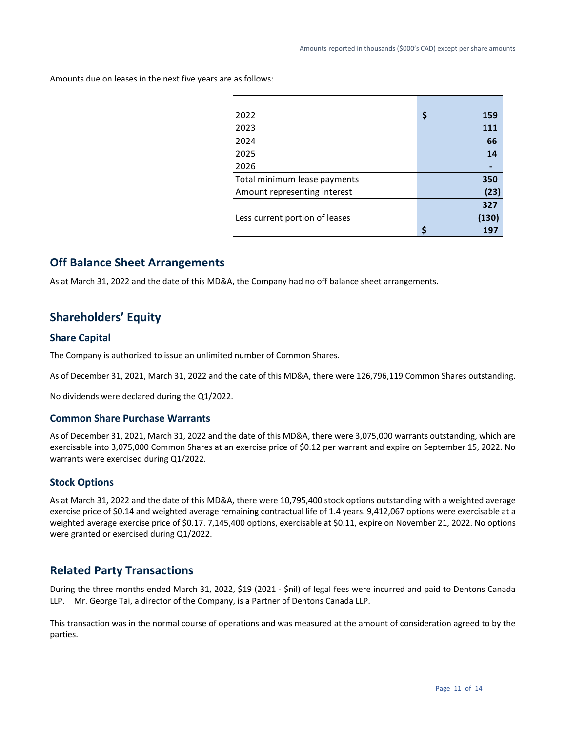| 2022                           | \$<br>159 |
|--------------------------------|-----------|
| 2023                           | 111       |
| 2024                           | 66        |
| 2025                           | 14        |
| 2026                           |           |
| Total minimum lease payments   | 350       |
| Amount representing interest   | (23)      |
|                                | 327       |
| Less current portion of leases | (130)     |
|                                | Ċ<br>197  |

Amounts due on leases in the next five years are as follows:

# **Off Balance Sheet Arrangements**

As at March 31, 2022 and the date of this MD&A, the Company had no off balance sheet arrangements.

# **Shareholders' Equity**

### **Share Capital**

The Company is authorized to issue an unlimited number of Common Shares.

As of December 31, 2021, March 31, 2022 and the date of this MD&A, there were 126,796,119 Common Shares outstanding.

No dividends were declared during the Q1/2022.

### **Common Share Purchase Warrants**

As of December 31, 2021, March 31, 2022 and the date of this MD&A, there were 3,075,000 warrants outstanding, which are exercisable into 3,075,000 Common Shares at an exercise price of \$0.12 per warrant and expire on September 15, 2022. No warrants were exercised during Q1/2022.

### **Stock Options**

As at March 31, 2022 and the date of this MD&A, there were 10,795,400 stock options outstanding with a weighted average exercise price of \$0.14 and weighted average remaining contractual life of 1.4 years. 9,412,067 options were exercisable at a weighted average exercise price of \$0.17. 7,145,400 options, exercisable at \$0.11, expire on November 21, 2022. No options were granted or exercised during Q1/2022.

# **Related Party Transactions**

During the three months ended March 31, 2022, \$19 (2021 - \$nil) of legal fees were incurred and paid to Dentons Canada LLP. Mr. George Tai, a director of the Company, is a Partner of Dentons Canada LLP.

This transaction was in the normal course of operations and was measured at the amount of consideration agreed to by the parties.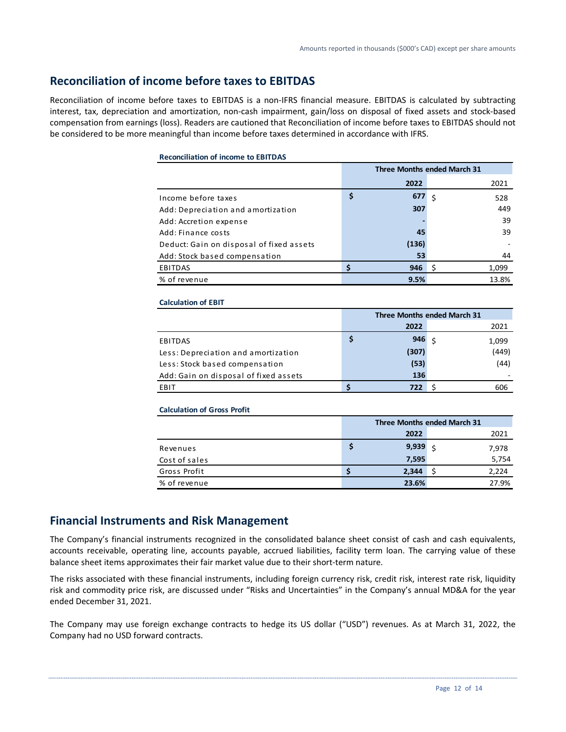# **Reconciliation of income before taxes to EBITDAS**

Reconciliation of income before taxes to EBITDAS is a non-IFRS financial measure. EBITDAS is calculated by subtracting interest, tax, depreciation and amortization, non-cash impairment, gain/loss on disposal of fixed assets and stock-based compensation from earnings (loss). Readers are cautioned that Reconciliation of income before taxes to EBITDAS should not be considered to be more meaningful than income before taxes determined in accordance with IFRS.

#### **Reconciliation of income to EBITDAS**

|                                          |           | <b>Three Months ended March 31</b> |       |
|------------------------------------------|-----------|------------------------------------|-------|
|                                          | 2022      |                                    | 2021  |
| Income before taxes                      | \$<br>677 | Ś                                  | 528   |
| Add: Depreciation and amortization       | 307       |                                    | 449   |
| Add: Accretion expense                   |           |                                    | 39    |
| Add: Finance costs                       | 45        |                                    | 39    |
| Deduct: Gain on disposal of fixed assets | (136)     |                                    |       |
| Add: Stock based compensation            | 53        |                                    | 44    |
| <b>EBITDAS</b>                           | 946       | S                                  | 1,099 |
| % of revenue                             | 9.5%      |                                    | 13.8% |

#### **Calculation of EBIT**

|                                       | <b>Three Months ended March 31</b> |       |  |       |  |  |
|---------------------------------------|------------------------------------|-------|--|-------|--|--|
|                                       |                                    | 2022  |  | 2021  |  |  |
| EBITDAS                               | s                                  | 946   |  | 1,099 |  |  |
| Less: Depreciation and amortization   |                                    | (307) |  | (449) |  |  |
| Less: Stock based compensation        |                                    | (53)  |  | (44)  |  |  |
| Add: Gain on disposal of fixed assets |                                    | 136   |  |       |  |  |
| EBIT                                  |                                    | 722   |  | 606   |  |  |

**Calculation of Gross Profit**

|               | Three Months ended March 31 |              |  |       |  |
|---------------|-----------------------------|--------------|--|-------|--|
|               |                             | 2022         |  | 2021  |  |
| Revenues      |                             | $9,939 \leq$ |  | 7,978 |  |
| Cost of sales |                             | 7,595        |  | 5,754 |  |
| Gross Profit  |                             | 2.344        |  | 2,224 |  |
| % of revenue  |                             | 23.6%        |  | 27.9% |  |

# **Financial Instruments and Risk Management**

The Company's financial instruments recognized in the consolidated balance sheet consist of cash and cash equivalents, accounts receivable, operating line, accounts payable, accrued liabilities, facility term loan. The carrying value of these balance sheet items approximates their fair market value due to their short-term nature.

The risks associated with these financial instruments, including foreign currency risk, credit risk, interest rate risk, liquidity risk and commodity price risk, are discussed under "Risks and Uncertainties" in the Company's annual MD&A for the year ended December 31, 2021.

The Company may use foreign exchange contracts to hedge its US dollar ("USD") revenues. As at March 31, 2022, the Company had no USD forward contracts.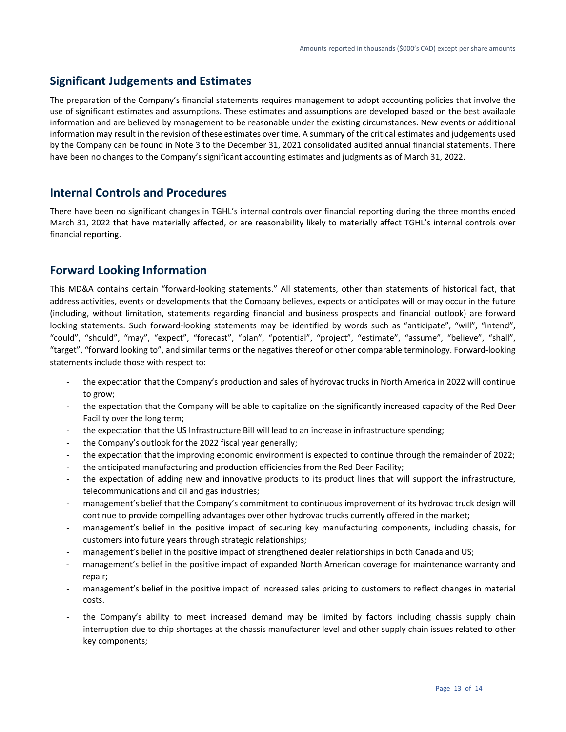# **Significant Judgements and Estimates**

The preparation of the Company's financial statements requires management to adopt accounting policies that involve the use of significant estimates and assumptions. These estimates and assumptions are developed based on the best available information and are believed by management to be reasonable under the existing circumstances. New events or additional information may result in the revision of these estimates over time. A summary of the critical estimates and judgements used by the Company can be found in Note 3 to the December 31, 2021 consolidated audited annual financial statements. There have been no changes to the Company's significant accounting estimates and judgments as of March 31, 2022.

# **Internal Controls and Procedures**

There have been no significant changes in TGHL's internal controls over financial reporting during the three months ended March 31, 2022 that have materially affected, or are reasonability likely to materially affect TGHL's internal controls over financial reporting.

# **Forward Looking Information**

This MD&A contains certain "forward-looking statements." All statements, other than statements of historical fact, that address activities, events or developments that the Company believes, expects or anticipates will or may occur in the future (including, without limitation, statements regarding financial and business prospects and financial outlook) are forward looking statements. Such forward-looking statements may be identified by words such as "anticipate", "will", "intend", "could", "should", "may", "expect", "forecast", "plan", "potential", "project", "estimate", "assume", "believe", "shall", "target", "forward looking to", and similar terms or the negatives thereof or other comparable terminology. Forward-looking statements include those with respect to:

- the expectation that the Company's production and sales of hydrovac trucks in North America in 2022 will continue to grow;
- the expectation that the Company will be able to capitalize on the significantly increased capacity of the Red Deer Facility over the long term;
- the expectation that the US Infrastructure Bill will lead to an increase in infrastructure spending;
- the Company's outlook for the 2022 fiscal year generally;
- the expectation that the improving economic environment is expected to continue through the remainder of 2022;
- the anticipated manufacturing and production efficiencies from the Red Deer Facility;
- the expectation of adding new and innovative products to its product lines that will support the infrastructure, telecommunications and oil and gas industries;
- management's belief that the Company's commitment to continuous improvement of its hydrovac truck design will continue to provide compelling advantages over other hydrovac trucks currently offered in the market;
- management's belief in the positive impact of securing key manufacturing components, including chassis, for customers into future years through strategic relationships;
- management's belief in the positive impact of strengthened dealer relationships in both Canada and US;
- management's belief in the positive impact of expanded North American coverage for maintenance warranty and repair;
- management's belief in the positive impact of increased sales pricing to customers to reflect changes in material costs.
- the Company's ability to meet increased demand may be limited by factors including chassis supply chain interruption due to chip shortages at the chassis manufacturer level and other supply chain issues related to other key components;